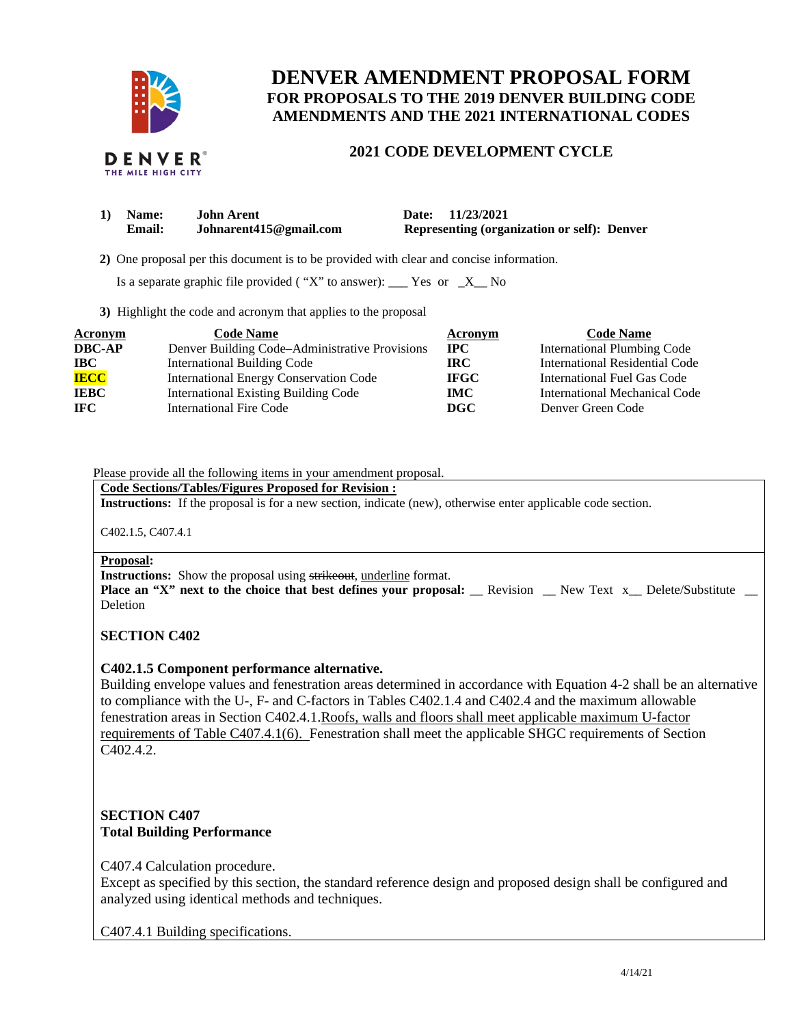

# **DENVER AMENDMENT PROPOSAL FORM FOR PROPOSALS TO THE 2019 DENVER BUILDING CODE AMENDMENTS AND THE 2021 INTERNATIONAL CODES**

# **2021 CODE DEVELOPMENT CYCLE**

| 1) Name:      | <b>John Arent</b>      | Date: 11/23/2021                                   |
|---------------|------------------------|----------------------------------------------------|
| <b>Email:</b> | Johnarent415@gmail.com | <b>Representing (organization or self): Denver</b> |

 **2)** One proposal per this document is to be provided with clear and concise information.

Is a separate graphic file provided ( "X" to answer):  $\frac{1}{1}$  Yes or  $\frac{1}{1}$  No

**3)** Highlight the code and acronym that applies to the proposal

| <b>Acronym</b> | <b>Code Name</b>                               | Acronym     | <b>Code Name</b>                   |
|----------------|------------------------------------------------|-------------|------------------------------------|
| <b>DBC-AP</b>  | Denver Building Code–Administrative Provisions | $\bf IPC$   | <b>International Plumbing Code</b> |
| <b>IBC</b>     | <b>International Building Code</b>             | IRC.        | International Residential Code     |
| <b>IECC</b>    | <b>International Energy Conservation Code</b>  | <b>IFGC</b> | International Fuel Gas Code        |
| <b>IEBC</b>    | <b>International Existing Building Code</b>    | IMC .       | International Mechanical Code      |
| <b>IFC</b>     | <b>International Fire Code</b>                 | DGC         | Denver Green Code                  |

#### Please provide all the following items in your amendment proposal.

### **Code Sections/Tables/Figures Proposed for Revision :**

**Instructions:** If the proposal is for a new section, indicate (new), otherwise enter applicable code section.

C402.1.5, C407.4.1

#### **Proposal:**

**Instructions:** Show the proposal using strikeout, underline format.

**Place an "X" next to the choice that best defines your proposal:** \_\_ Revision \_\_ New Text x\_ Delete/Substitute \_\_ Deletion

### **SECTION C402**

### **C402.1.5 Component performance alternative.**

Building envelope values and fenestration areas determined in accordance with Equation 4-2 shall be an alternative to compliance with the U-, F- and C-factors in Tables C402.1.4 and C402.4 and the maximum allowable fenestration areas in Section C402.4.1.Roofs, walls and floors shall meet applicable maximum U-factor requirements of Table C407.4.1(6). Fenestration shall meet the applicable SHGC requirements of Section C402.4.2.

## **SECTION C407 Total Building Performance**

C407.4 Calculation procedure.

Except as specified by this section, the standard reference design and proposed design shall be configured and analyzed using identical methods and techniques.

C407.4.1 Building specifications.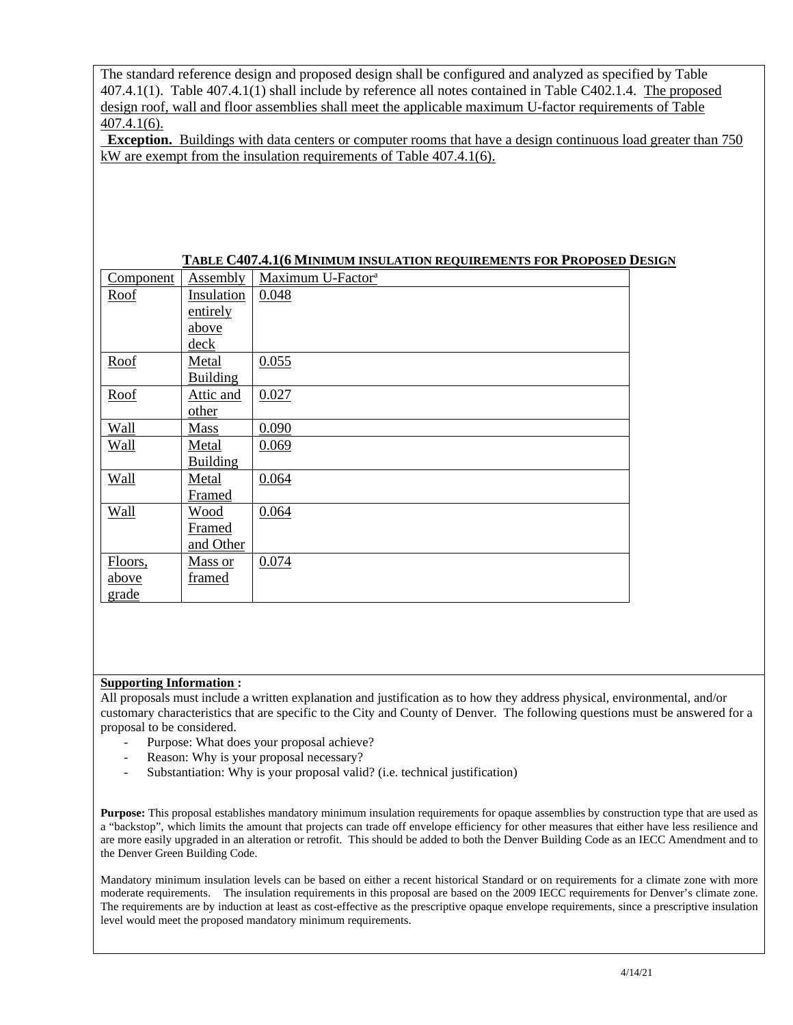The standard reference design and proposed design shall be configured and analyzed as specified by Table 407.4.1(1). Table 407.4.1(1) shall include by reference all notes contained in Table C402.1.4. The proposed design roof, wall and floor assemblies shall meet the applicable maximum U-factor requirements of Table 407.4.1(6).

**Exception.** Buildings with data centers or computer rooms that have a design continuous load greater than 750 kW are exempt from the insulation requirements of Table 407.4.1(6).

| Component   | Assembly        | Maximum U-Factor <sup>a</sup> |
|-------------|-----------------|-------------------------------|
| Roof        | Insulation      | 0.048                         |
|             | entirely        |                               |
|             | <u>above</u>    |                               |
|             | deck            |                               |
| Roof        | Metal           | 0.055                         |
|             | <b>Building</b> |                               |
| Roof        | Attic and       | 0.027                         |
|             | other           |                               |
| <b>Wall</b> | Mass            | 0.090                         |
| Wall        | Metal           | 0.069                         |
|             | <b>Building</b> |                               |
| Wall        | Metal           | 0.064                         |
|             | Framed          |                               |
| Wall        | <b>Wood</b>     | 0.064                         |
|             | Framed          |                               |
|             | and Other       |                               |
| Floors,     | Mass or         | 0.074                         |
| above       | framed          |                               |
| grade       |                 |                               |

### **Supporting Information :**

All proposals must include a written explanation and justification as to how they address physical, environmental, and/or customary characteristics that are specific to the City and County of Denver. The following questions must be answered for a proposal to be considered.

- Purpose: What does your proposal achieve?
- Reason: Why is your proposal necessary?
- Substantiation: Why is your proposal valid? (i.e. technical justification)

**Purpose:** This proposal establishes mandatory minimum insulation requirements for opaque assemblies by construction type that are used as a "backstop", which limits the amount that projects can trade off envelope efficiency for other measures that either have less resilience and are more easily upgraded in an alteration or retrofit. This should be added to both the Denver Building Code as an IECC Amendment and to the Denver Green Building Code.

Mandatory minimum insulation levels can be based on either a recent historical Standard or on requirements for a climate zone with more moderate requirements. The insulation requirements in this proposal are based on the 2009 IECC requirements for Denver's climate zone. The requirements are by induction at least as cost-effective as the prescriptive opaque envelope requirements, since a prescriptive insulation level would meet the proposed mandatory minimum requirements.